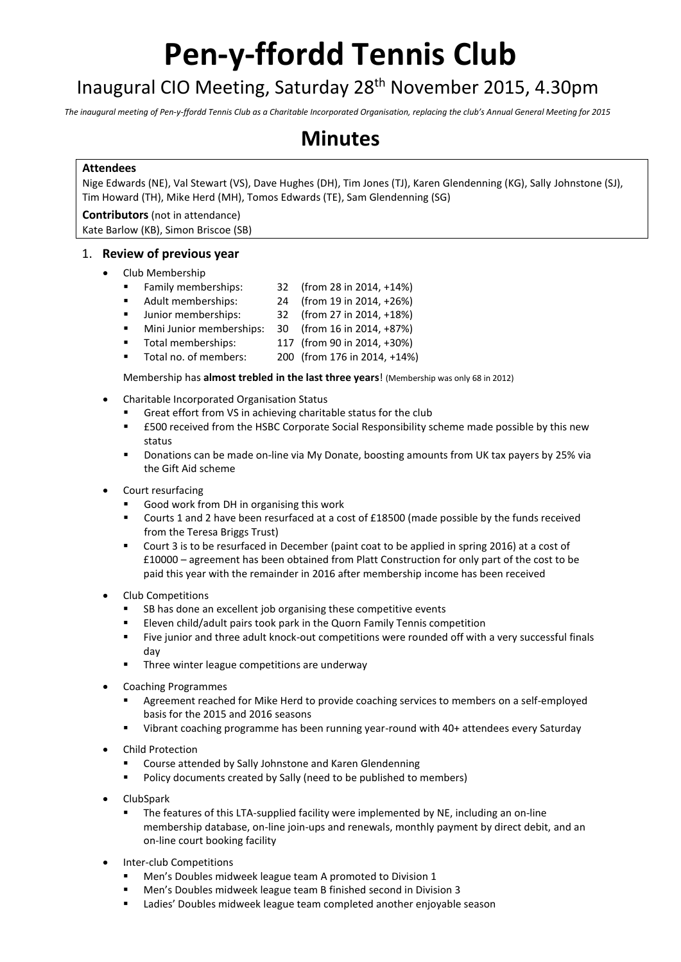# **Pen-y-ffordd Tennis Club**

# Inaugural CIO Meeting, Saturday 28th November 2015, 4.30pm

*The inaugural meeting of Pen-y-ffordd Tennis Club as a Charitable Incorporated Organisation, replacing the club's Annual General Meeting for 2015*

# **Minutes**

#### **Attendees**

Nige Edwards (NE), Val Stewart (VS), Dave Hughes (DH), Tim Jones (TJ), Karen Glendenning (KG), Sally Johnstone (SJ), Tim Howard (TH), Mike Herd (MH), Tomos Edwards (TE), Sam Glendenning (SG)

**Contributors** (not in attendance) Kate Barlow (KB), Simon Briscoe (SB)

#### 1. **Review of previous year**

- Club Membership
	- Family memberships: 32 (from 28 in 2014, +14%)
	- Adult memberships: 24 (from 19 in 2014, +26%)
	- Junior memberships: 32 (from 27 in 2014, +18%)
	- Mini Junior memberships: 30 (from 16 in 2014, +87%)
	- Total memberships: 117 (from 90 in 2014, +30%)
	- Total no. of members: 200 (from 176 in 2014, +14%)

Membership has **almost trebled in the last three years**! (Membership was only 68 in 2012)

- Charitable Incorporated Organisation Status
	- Great effort from VS in achieving charitable status for the club
	- £500 received from the HSBC Corporate Social Responsibility scheme made possible by this new status
	- Donations can be made on-line via My Donate, boosting amounts from UK tax payers by 25% via the Gift Aid scheme
- Court resurfacing
	- Good work from DH in organising this work
	- Courts 1 and 2 have been resurfaced at a cost of £18500 (made possible by the funds received from the Teresa Briggs Trust)
	- Court 3 is to be resurfaced in December (paint coat to be applied in spring 2016) at a cost of £10000 – agreement has been obtained from Platt Construction for only part of the cost to be paid this year with the remainder in 2016 after membership income has been received
- Club Competitions
	- SB has done an excellent job organising these competitive events
	- Eleven child/adult pairs took park in the Quorn Family Tennis competition
	- Five junior and three adult knock-out competitions were rounded off with a very successful finals day
	- Three winter league competitions are underway
- Coaching Programmes
	- Agreement reached for Mike Herd to provide coaching services to members on a self-employed basis for the 2015 and 2016 seasons
	- Vibrant coaching programme has been running year-round with 40+ attendees every Saturday
- Child Protection
	- Course attended by Sally Johnstone and Karen Glendenning
	- Policy documents created by Sally (need to be published to members)
- **ClubSpark** 
	- The features of this LTA-supplied facility were implemented by NE, including an on-line membership database, on-line join-ups and renewals, monthly payment by direct debit, and an on-line court booking facility
- Inter-club Competitions
	- Men's Doubles midweek league team A promoted to Division 1
	- Men's Doubles midweek league team B finished second in Division 3
	- **EXECTE 20** Ladies' Doubles midweek league team completed another enjoyable season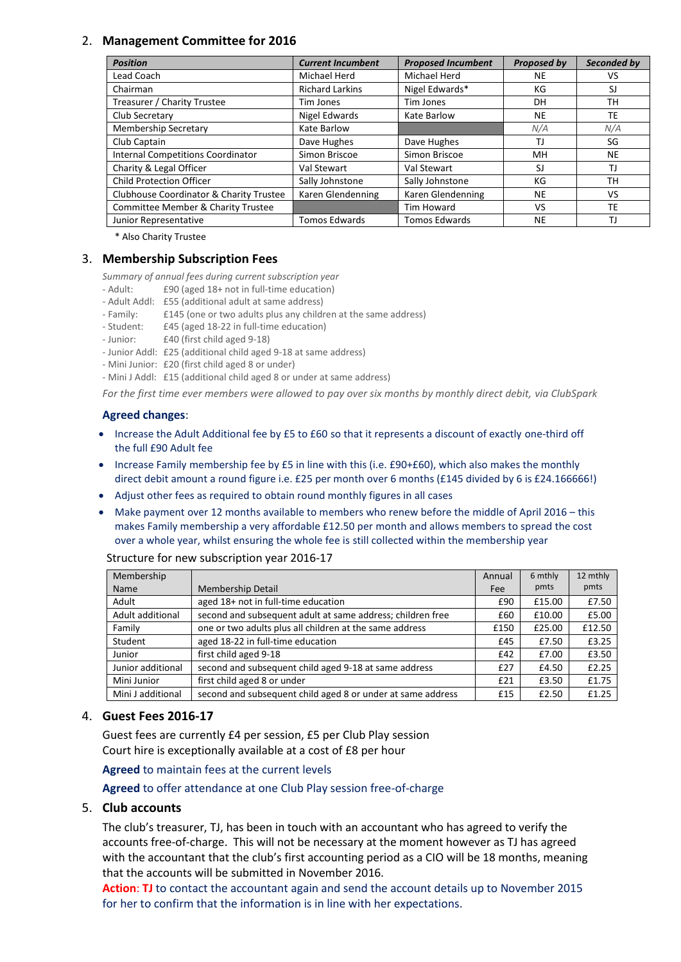## 2. **Management Committee for 2016**

| <b>Position</b>                          | <b>Current Incumbent</b> | <b>Proposed Incumbent</b> | Proposed by | Seconded by |
|------------------------------------------|--------------------------|---------------------------|-------------|-------------|
| Lead Coach                               | Michael Herd             | Michael Herd              | <b>NE</b>   | VS          |
| Chairman                                 | <b>Richard Larkins</b>   | Nigel Edwards*            | КG          | SJ          |
| Treasurer / Charity Trustee              | Tim Jones                | Tim Jones                 | DH          | TН          |
| Club Secretary                           | Nigel Edwards            | Kate Barlow               | NE          | TE          |
| <b>Membership Secretary</b>              | Kate Barlow              |                           | N/A         | N/A         |
| Club Captain                             | Dave Hughes              | Dave Hughes               | TJ          | SG          |
| <b>Internal Competitions Coordinator</b> | Simon Briscoe            | Simon Briscoe             | MН          | <b>NE</b>   |
| Charity & Legal Officer                  | Val Stewart              | Val Stewart               | SJ          | TJ          |
| <b>Child Protection Officer</b>          | Sally Johnstone          | Sally Johnstone           | КG          | TН          |
| Clubhouse Coordinator & Charity Trustee  | Karen Glendenning        | Karen Glendenning         | <b>NE</b>   | VS          |
| Committee Member & Charity Trustee       |                          | Tim Howard                | VS          | TE          |
| Junior Representative                    | <b>Tomos Edwards</b>     | <b>Tomos Edwards</b>      | <b>NE</b>   | ΤJ          |

\* Also Charity Trustee

#### 3. **Membership Subscription Fees**

*Summary of annual fees during current subscription year*

- Adult: £90 (aged 18+ not in full-time education)
- Adult Addl: £55 (additional adult at same address)
- Family: £145 (one or two adults plus any children at the same address)
- Student: £45 (aged 18-22 in full-time education)
- Junior: £40 (first child aged 9-18)
- Junior Addl: £25 (additional child aged 9-18 at same address)
- Mini Junior: £20 (first child aged 8 or under)
- Mini J Addl: £15 (additional child aged 8 or under at same address)

*For the first time ever members were allowed to pay over six months by monthly direct debit, via ClubSpark*

#### **Agreed changes**:

- Increase the Adult Additional fee by £5 to £60 so that it represents a discount of exactly one-third off the full £90 Adult fee
- Increase Family membership fee by £5 in line with this (i.e. £90+£60), which also makes the monthly direct debit amount a round figure i.e. £25 per month over 6 months (£145 divided by 6 is £24.166666!)
- Adjust other fees as required to obtain round monthly figures in all cases
- Make payment over 12 months available to members who renew before the middle of April 2016 this makes Family membership a very affordable £12.50 per month and allows members to spread the cost over a whole year, whilst ensuring the whole fee is still collected within the membership year

#### Structure for new subscription year 2016-17

| Membership        |                                                             | Annual | 6 mthly | 12 mthly |
|-------------------|-------------------------------------------------------------|--------|---------|----------|
| Name              | Membership Detail                                           | Fee    | pmts    | pmts     |
| Adult             | aged 18+ not in full-time education                         | £90    | £15.00  | £7.50    |
| Adult additional  | second and subsequent adult at same address; children free  | £60    | £10.00  | £5.00    |
| Family            | one or two adults plus all children at the same address     | £150   | £25.00  | £12.50   |
| Student           | aged 18-22 in full-time education                           | £45    | £7.50   | £3.25    |
| Junior            | first child aged 9-18                                       | £42    | £7.00   | £3.50    |
| Junior additional | second and subsequent child aged 9-18 at same address       | £27    | £4.50   | £2.25    |
| Mini Junior       | first child aged 8 or under                                 | £21    | £3.50   | £1.75    |
| Mini J additional | second and subsequent child aged 8 or under at same address | £15    | £2.50   | £1.25    |

#### 4. **Guest Fees 2016-17**

Guest fees are currently £4 per session, £5 per Club Play session Court hire is exceptionally available at a cost of £8 per hour

**Agreed** to maintain fees at the current levels

### **Agreed** to offer attendance at one Club Play session free-of-charge

#### 5. **Club accounts**

The club's treasurer, TJ, has been in touch with an accountant who has agreed to verify the accounts free-of-charge. This will not be necessary at the moment however as TJ has agreed with the accountant that the club's first accounting period as a CIO will be 18 months, meaning that the accounts will be submitted in November 2016.

**Action**: **TJ** to contact the accountant again and send the account details up to November 2015 for her to confirm that the information is in line with her expectations.